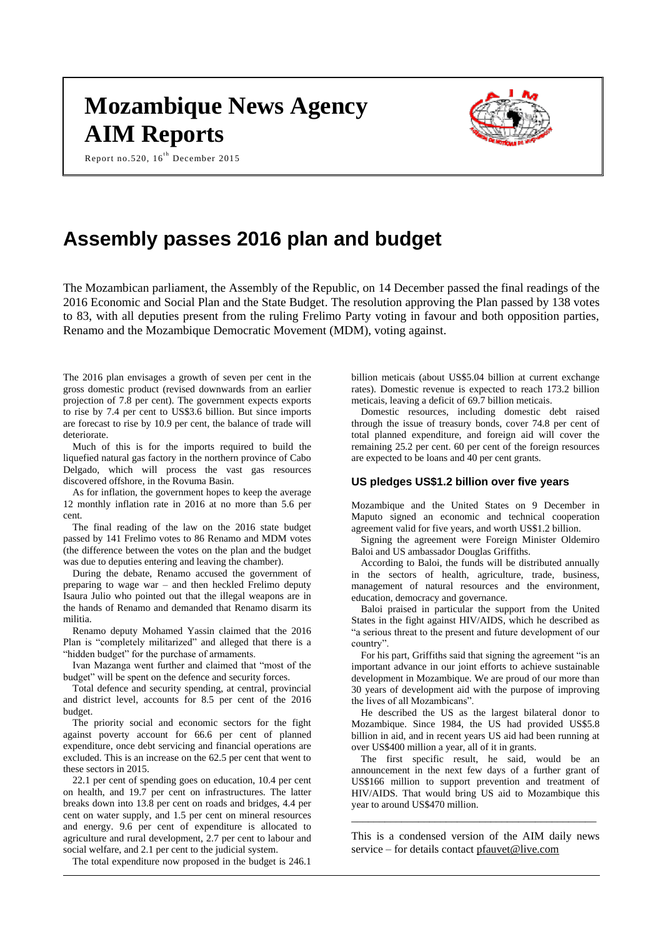# **Mozambique News Agency AIM Reports**





# **Assembly passes 2016 plan and budget**

The Mozambican parliament, the Assembly of the Republic, on 14 December passed the final readings of the 2016 Economic and Social Plan and the State Budget. The resolution approving the Plan passed by 138 votes to 83, with all deputies present from the ruling Frelimo Party voting in favour and both opposition parties, Renamo and the Mozambique Democratic Movement (MDM), voting against.

The 2016 plan envisages a growth of seven per cent in the gross domestic product (revised downwards from an earlier projection of 7.8 per cent). The government expects exports to rise by 7.4 per cent to US\$3.6 billion. But since imports are forecast to rise by 10.9 per cent, the balance of trade will deteriorate.

Much of this is for the imports required to build the liquefied natural gas factory in the northern province of Cabo Delgado, which will process the vast gas resources discovered offshore, in the Rovuma Basin.

As for inflation, the government hopes to keep the average 12 monthly inflation rate in 2016 at no more than 5.6 per cent.

The final reading of the law on the 2016 state budget passed by 141 Frelimo votes to 86 Renamo and MDM votes (the difference between the votes on the plan and the budget was due to deputies entering and leaving the chamber).

During the debate, Renamo accused the government of preparing to wage war – and then heckled Frelimo deputy Isaura Julio who pointed out that the illegal weapons are in the hands of Renamo and demanded that Renamo disarm its militia.

Renamo deputy Mohamed Yassin claimed that the 2016 Plan is "completely militarized" and alleged that there is a "hidden budget" for the purchase of armaments.

Ivan Mazanga went further and claimed that "most of the budget" will be spent on the defence and security forces.

Total defence and security spending, at central, provincial and district level, accounts for 8.5 per cent of the 2016 budget.

The priority social and economic sectors for the fight against poverty account for 66.6 per cent of planned expenditure, once debt servicing and financial operations are excluded. This is an increase on the 62.5 per cent that went to these sectors in 2015.

22.1 per cent of spending goes on education, 10.4 per cent on health, and 19.7 per cent on infrastructures. The latter breaks down into 13.8 per cent on roads and bridges, 4.4 per cent on water supply, and 1.5 per cent on mineral resources and energy. 9.6 per cent of expenditure is allocated to agriculture and rural development, 2.7 per cent to labour and social welfare, and 2.1 per cent to the judicial system.

The total expenditure now proposed in the budget is 246.1

billion meticais (about US\$5.04 billion at current exchange rates). Domestic revenue is expected to reach 173.2 billion meticais, leaving a deficit of 69.7 billion meticais.

Domestic resources, including domestic debt raised through the issue of treasury bonds, cover 74.8 per cent of total planned expenditure, and foreign aid will cover the remaining 25.2 per cent. 60 per cent of the foreign resources are expected to be loans and 40 per cent grants.

#### **US pledges US\$1.2 billion over five years**

Mozambique and the United States on 9 December in Maputo signed an economic and technical cooperation agreement valid for five years, and worth US\$1.2 billion.

Signing the agreement were Foreign Minister Oldemiro Baloi and US ambassador Douglas Griffiths.

According to Baloi, the funds will be distributed annually in the sectors of health, agriculture, trade, business, management of natural resources and the environment, education, democracy and governance.

Baloi praised in particular the support from the United States in the fight against HIV/AIDS, which he described as "a serious threat to the present and future development of our country".

For his part, Griffiths said that signing the agreement "is an important advance in our joint efforts to achieve sustainable development in Mozambique. We are proud of our more than 30 years of development aid with the purpose of improving the lives of all Mozambicans".

He described the US as the largest bilateral donor to Mozambique. Since 1984, the US had provided US\$5.8 billion in aid, and in recent years US aid had been running at over US\$400 million a year, all of it in grants.

The first specific result, he said, would be an announcement in the next few days of a further grant of US\$166 million to support prevention and treatment of HIV/AIDS. That would bring US aid to Mozambique this year to around US\$470 million.

This is a condensed version of the AIM daily news service – for details contact [pfauvet@live.com](mailto:pfauvet@live.com)

\_\_\_\_\_\_\_\_\_\_\_\_\_\_\_\_\_\_\_\_\_\_\_\_\_\_\_\_\_\_\_\_\_\_\_\_\_\_\_\_\_\_\_\_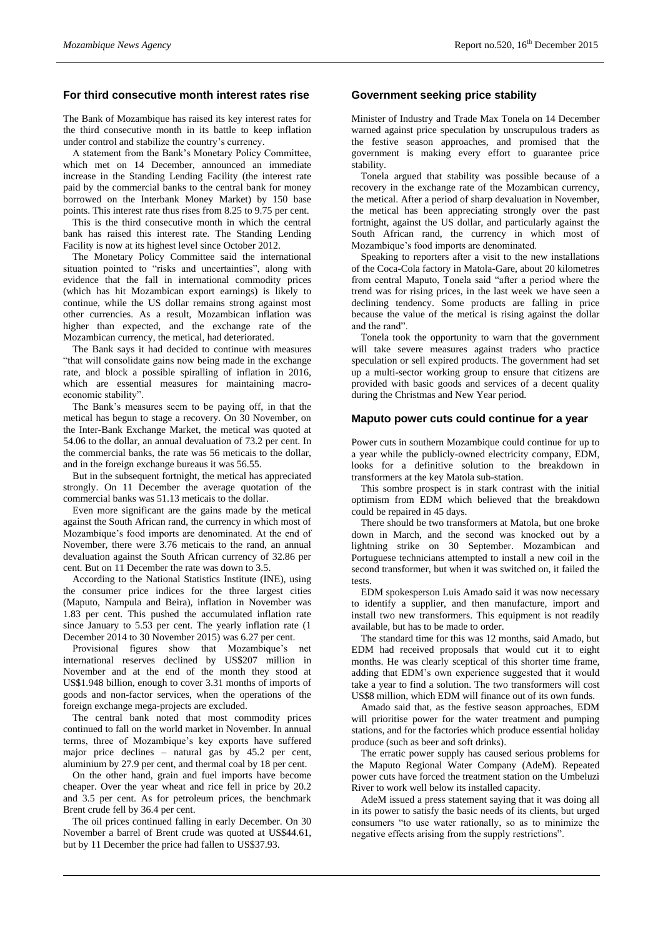### **For third consecutive month interest rates rise**

The Bank of Mozambique has raised its key interest rates for the third consecutive month in its battle to keep inflation under control and stabilize the country's currency.

A statement from the Bank's Monetary Policy Committee, which met on 14 December, announced an immediate increase in the Standing Lending Facility (the interest rate paid by the commercial banks to the central bank for money borrowed on the Interbank Money Market) by 150 base points. This interest rate thus rises from 8.25 to 9.75 per cent.

This is the third consecutive month in which the central bank has raised this interest rate. The Standing Lending Facility is now at its highest level since October 2012.

The Monetary Policy Committee said the international situation pointed to "risks and uncertainties", along with evidence that the fall in international commodity prices (which has hit Mozambican export earnings) is likely to continue, while the US dollar remains strong against most other currencies. As a result, Mozambican inflation was higher than expected, and the exchange rate of the Mozambican currency, the metical, had deteriorated.

The Bank says it had decided to continue with measures "that will consolidate gains now being made in the exchange rate, and block a possible spiralling of inflation in 2016, which are essential measures for maintaining macroeconomic stability".

The Bank's measures seem to be paying off, in that the metical has begun to stage a recovery. On 30 November, on the Inter-Bank Exchange Market, the metical was quoted at 54.06 to the dollar, an annual devaluation of 73.2 per cent. In the commercial banks, the rate was 56 meticais to the dollar, and in the foreign exchange bureaus it was 56.55.

But in the subsequent fortnight, the metical has appreciated strongly. On 11 December the average quotation of the commercial banks was 51.13 meticais to the dollar.

Even more significant are the gains made by the metical against the South African rand, the currency in which most of Mozambique's food imports are denominated. At the end of November, there were 3.76 meticais to the rand, an annual devaluation against the South African currency of 32.86 per cent. But on 11 December the rate was down to 3.5.

According to the National Statistics Institute (INE), using the consumer price indices for the three largest cities (Maputo, Nampula and Beira), inflation in November was 1.83 per cent. This pushed the accumulated inflation rate since January to 5.53 per cent. The yearly inflation rate (1 December 2014 to 30 November 2015) was 6.27 per cent.

Provisional figures show that Mozambique's net international reserves declined by US\$207 million in November and at the end of the month they stood at US\$1.948 billion, enough to cover 3.31 months of imports of goods and non-factor services, when the operations of the foreign exchange mega-projects are excluded.

The central bank noted that most commodity prices continued to fall on the world market in November. In annual terms, three of Mozambique's key exports have suffered major price declines – natural gas by 45.2 per cent, aluminium by 27.9 per cent, and thermal coal by 18 per cent.

On the other hand, grain and fuel imports have become cheaper. Over the year wheat and rice fell in price by 20.2 and 3.5 per cent. As for petroleum prices, the benchmark Brent crude fell by 36.4 per cent.

The oil prices continued falling in early December. On 30 November a barrel of Brent crude was quoted at US\$44.61, but by 11 December the price had fallen to US\$37.93.

### **Government seeking price stability**

Minister of Industry and Trade Max Tonela on 14 December warned against price speculation by unscrupulous traders as the festive season approaches, and promised that the government is making every effort to guarantee price stability.

Tonela argued that stability was possible because of a recovery in the exchange rate of the Mozambican currency, the metical. After a period of sharp devaluation in November, the metical has been appreciating strongly over the past fortnight, against the US dollar, and particularly against the South African rand, the currency in which most of Mozambique's food imports are denominated.

Speaking to reporters after a visit to the new installations of the Coca-Cola factory in Matola-Gare, about 20 kilometres from central Maputo, Tonela said "after a period where the trend was for rising prices, in the last week we have seen a declining tendency. Some products are falling in price because the value of the metical is rising against the dollar and the rand".

Tonela took the opportunity to warn that the government will take severe measures against traders who practice speculation or sell expired products. The government had set up a multi-sector working group to ensure that citizens are provided with basic goods and services of a decent quality during the Christmas and New Year period.

# **Maputo power cuts could continue for a year**

Power cuts in southern Mozambique could continue for up to a year while the publicly-owned electricity company, EDM, looks for a definitive solution to the breakdown in transformers at the key Matola sub-station.

This sombre prospect is in stark contrast with the initial optimism from EDM which believed that the breakdown could be repaired in 45 days.

There should be two transformers at Matola, but one broke down in March, and the second was knocked out by a lightning strike on 30 September. Mozambican and Portuguese technicians attempted to install a new coil in the second transformer, but when it was switched on, it failed the tests.

EDM spokesperson Luis Amado said it was now necessary to identify a supplier, and then manufacture, import and install two new transformers. This equipment is not readily available, but has to be made to order.

The standard time for this was 12 months, said Amado, but EDM had received proposals that would cut it to eight months. He was clearly sceptical of this shorter time frame, adding that EDM's own experience suggested that it would take a year to find a solution. The two transformers will cost US\$8 million, which EDM will finance out of its own funds.

Amado said that, as the festive season approaches, EDM will prioritise power for the water treatment and pumping stations, and for the factories which produce essential holiday produce (such as beer and soft drinks).

The erratic power supply has caused serious problems for the Maputo Regional Water Company (AdeM). Repeated power cuts have forced the treatment station on the Umbeluzi River to work well below its installed capacity.

AdeM issued a press statement saying that it was doing all in its power to satisfy the basic needs of its clients, but urged consumers "to use water rationally, so as to minimize the negative effects arising from the supply restrictions".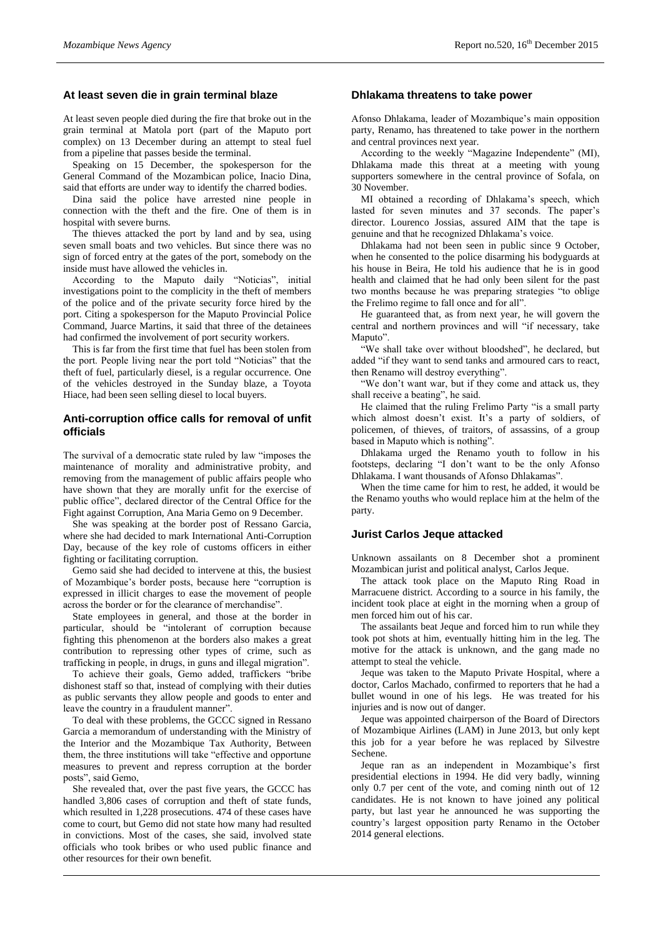#### **At least seven die in grain terminal blaze**

At least seven people died during the fire that broke out in the grain terminal at Matola port (part of the Maputo port complex) on 13 December during an attempt to steal fuel from a pipeline that passes beside the terminal.

Speaking on 15 December, the spokesperson for the General Command of the Mozambican police, Inacio Dina, said that efforts are under way to identify the charred bodies.

Dina said the police have arrested nine people in connection with the theft and the fire. One of them is in hospital with severe burns.

The thieves attacked the port by land and by sea, using seven small boats and two vehicles. But since there was no sign of forced entry at the gates of the port, somebody on the inside must have allowed the vehicles in.

According to the Maputo daily "Noticias", initial investigations point to the complicity in the theft of members of the police and of the private security force hired by the port. Citing a spokesperson for the Maputo Provincial Police Command, Juarce Martins, it said that three of the detainees had confirmed the involvement of port security workers.

This is far from the first time that fuel has been stolen from the port. People living near the port told "Noticias" that the theft of fuel, particularly diesel, is a regular occurrence. One of the vehicles destroyed in the Sunday blaze, a Toyota Hiace, had been seen selling diesel to local buyers.

# **Anti-corruption office calls for removal of unfit officials**

The survival of a democratic state ruled by law "imposes the maintenance of morality and administrative probity, and removing from the management of public affairs people who have shown that they are morally unfit for the exercise of public office", declared director of the Central Office for the Fight against Corruption, Ana Maria Gemo on 9 December.

She was speaking at the border post of Ressano Garcia, where she had decided to mark International Anti-Corruption Day, because of the key role of customs officers in either fighting or facilitating corruption.

Gemo said she had decided to intervene at this, the busiest of Mozambique's border posts, because here "corruption is expressed in illicit charges to ease the movement of people across the border or for the clearance of merchandise".

State employees in general, and those at the border in particular, should be "intolerant of corruption because fighting this phenomenon at the borders also makes a great contribution to repressing other types of crime, such as trafficking in people, in drugs, in guns and illegal migration".

To achieve their goals, Gemo added, traffickers "bribe dishonest staff so that, instead of complying with their duties as public servants they allow people and goods to enter and leave the country in a fraudulent manner".

To deal with these problems, the GCCC signed in Ressano Garcia a memorandum of understanding with the Ministry of the Interior and the Mozambique Tax Authority, Between them, the three institutions will take "effective and opportune measures to prevent and repress corruption at the border posts", said Gemo,

She revealed that, over the past five years, the GCCC has handled 3,806 cases of corruption and theft of state funds, which resulted in 1,228 prosecutions. 474 of these cases have come to court, but Gemo did not state how many had resulted in convictions. Most of the cases, she said, involved state officials who took bribes or who used public finance and other resources for their own benefit.

#### **Dhlakama threatens to take power**

Afonso Dhlakama, leader of Mozambique's main opposition party, Renamo, has threatened to take power in the northern and central provinces next year.

According to the weekly "Magazine Independente" (MI), Dhlakama made this threat at a meeting with young supporters somewhere in the central province of Sofala, on 30 November.

MI obtained a recording of Dhlakama's speech, which lasted for seven minutes and 37 seconds. The paper's director. Lourenco Jossias, assured AIM that the tape is genuine and that he recognized Dhlakama's voice.

Dhlakama had not been seen in public since 9 October, when he consented to the police disarming his bodyguards at his house in Beira, He told his audience that he is in good health and claimed that he had only been silent for the past two months because he was preparing strategies "to oblige the Frelimo regime to fall once and for all".

He guaranteed that, as from next year, he will govern the central and northern provinces and will "if necessary, take Maputo".

"We shall take over without bloodshed", he declared, but added "if they want to send tanks and armoured cars to react, then Renamo will destroy everything".

"We don't want war, but if they come and attack us, they shall receive a beating", he said.

He claimed that the ruling Frelimo Party "is a small party which almost doesn't exist. It's a party of soldiers, of policemen, of thieves, of traitors, of assassins, of a group based in Maputo which is nothing".

Dhlakama urged the Renamo youth to follow in his footsteps, declaring "I don't want to be the only Afonso Dhlakama. I want thousands of Afonso Dhlakamas".

When the time came for him to rest, he added, it would be the Renamo youths who would replace him at the helm of the party.

### **Jurist Carlos Jeque attacked**

Unknown assailants on 8 December shot a prominent Mozambican jurist and political analyst, Carlos Jeque.

The attack took place on the Maputo Ring Road in Marracuene district. According to a source in his family, the incident took place at eight in the morning when a group of men forced him out of his car.

The assailants beat Jeque and forced him to run while they took pot shots at him, eventually hitting him in the leg. The motive for the attack is unknown, and the gang made no attempt to steal the vehicle.

Jeque was taken to the Maputo Private Hospital, where a doctor, Carlos Machado, confirmed to reporters that he had a bullet wound in one of his legs. He was treated for his injuries and is now out of danger.

Jeque was appointed chairperson of the Board of Directors of Mozambique Airlines (LAM) in June 2013, but only kept this job for a year before he was replaced by Silvestre Sechene.

Jeque ran as an independent in Mozambique's first presidential elections in 1994. He did very badly, winning only 0.7 per cent of the vote, and coming ninth out of 12 candidates. He is not known to have joined any political party, but last year he announced he was supporting the country's largest opposition party Renamo in the October 2014 general elections.